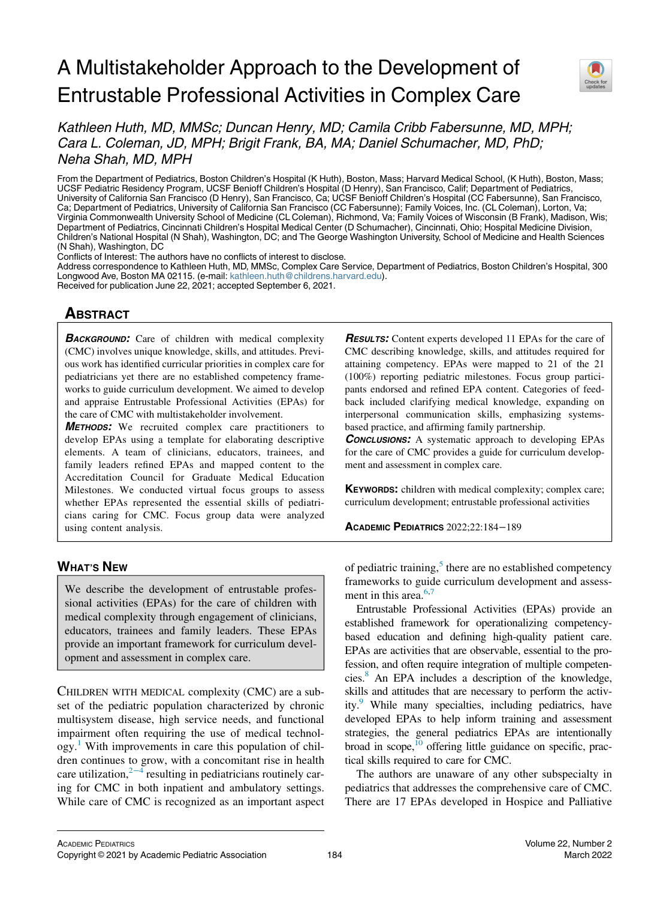# A Multistakeholder Approach to the Development of Entrustable Professional Activities in Complex Care



Kathleen Huth, MD, MMSc; Duncan Henry, MD; Camila Cribb Fabersunne, MD, MPH; Cara L. Coleman, JD, MPH; Brigit Frank, BA, MA; Daniel Schumacher, MD, PhD; Neha Shah, MD, MPH

From the Department of Pediatrics, Boston Children's Hospital (K Huth), Boston, Mass; Harvard Medical School, (K Huth), Boston, Mass; UCSF Pediatric Residency Program, UCSF Benioff Children's Hospital (D Henry), San Francisco, Calif; Department of Pediatrics, University of California San Francisco (D Henry), San Francisco, Ca; UCSF Benioff Children's Hospital (CC Fabersunne), San Francisco, Ca; Department of Pediatrics, University of California San Francisco (CC Fabersunne); Family Voices, Inc. (CL Coleman), Lorton, Va; Virginia Commonwealth University School of Medicine (CL Coleman), Richmond, Va; Family Voices of Wisconsin (B Frank), Madison, Wis; Department of Pediatrics, Cincinnati Children's Hospital Medical Center (D Schumacher), Cincinnati, Ohio; Hospital Medicine Division, Children's National Hospital (N Shah), Washington, DC; and The George Washington University, School of Medicine and Health Sciences (N Shah), Washington, DC

Conflicts of Interest: The authors have no conflicts of interest to disclose.

Address correspondence to Kathleen Huth, MD, MMSc, Complex Care Service, Department of Pediatrics, Boston Children's Hospital, 300 Longwood Ave, Boston MA 02115. (e-mail: [kathleen.huth@childrens.harvard.edu](mailto:kathleen.huth@childrens.harvard.edu)).

Received for publication June 22, 2021; accepted September 6, 2021.

# **ABSTRACT**

**BACKGROUND:** Care of children with medical complexity (CMC) involves unique knowledge, skills, and attitudes. Previous work has identified curricular priorities in complex care for pediatricians yet there are no established competency frameworks to guide curriculum development. We aimed to develop and appraise Entrustable Professional Activities (EPAs) for the care of CMC with multistakeholder involvement.

METHODS: We recruited complex care practitioners to develop EPAs using a template for elaborating descriptive elements. A team of clinicians, educators, trainees, and family leaders refined EPAs and mapped content to the Accreditation Council for Graduate Medical Education Milestones. We conducted virtual focus groups to assess whether EPAs represented the essential skills of pediatricians caring for CMC. Focus group data were analyzed using content analysis.

# WHAT'S NEW

We describe the development of entrustable professional activities (EPAs) for the care of children with medical complexity through engagement of clinicians, educators, trainees and family leaders. These EPAs provide an important framework for curriculum development and assessment in complex care.

CHILDREN WITH MEDICAL complexity (CMC) are a subset of the pediatric population characterized by chronic multisystem disease, high service needs, and functional impairment often requiring the use of medical technology[.1](#page-4-0) With improvements in care this population of children continues to grow, with a concomitant rise in health care utilization, $2^{-4}$  resulting in pediatricians routinely caring for CMC in both inpatient and ambulatory settings. While care of CMC is recognized as an important aspect **RESULTS:** Content experts developed 11 EPAs for the care of CMC describing knowledge, skills, and attitudes required for attaining competency. EPAs were mapped to 21 of the 21 (100%) reporting pediatric milestones. Focus group participants endorsed and refined EPA content. Categories of feedback included clarifying medical knowledge, expanding on interpersonal communication skills, emphasizing systemsbased practice, and affirming family partnership.

**CONCLUSIONS:** A systematic approach to developing EPAs for the care of CMC provides a guide for curriculum development and assessment in complex care.

KEYWORDS: children with medical complexity; complex care; curriculum development; entrustable professional activities

ACADEMIC PEDIATRICS 2022;22:184−189

of pediatric training, $5$  there are no established competency frameworks to guide curriculum development and assessment in this area. $6,7$  $6,7$ 

Entrustable Professional Activities (EPAs) provide an established framework for operationalizing competencybased education and defining high-quality patient care. EPAs are activities that are observable, essential to the profession, and often require integration of multiple competencies.[8](#page-4-5) An EPA includes a description of the knowledge, skills and attitudes that are necessary to perform the activity.[9](#page-4-6) While many specialties, including pediatrics, have developed EPAs to help inform training and assessment strategies, the general pediatrics EPAs are intentionally broad in scope, $^{10}$  offering little guidance on specific, practical skills required to care for CMC.

The authors are unaware of any other subspecialty in pediatrics that addresses the comprehensive care of CMC. There are 17 EPAs developed in Hospice and Palliative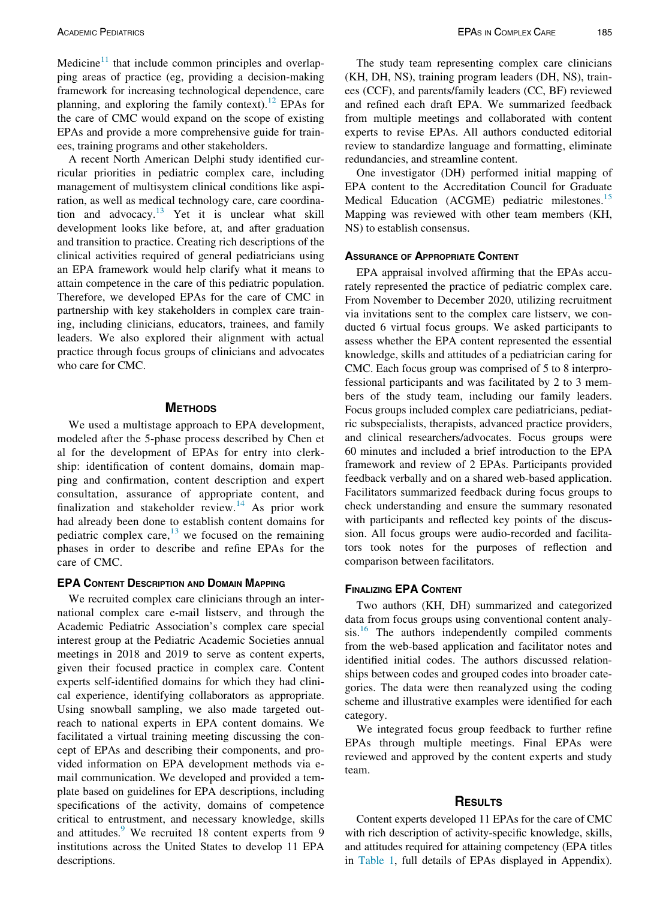Medicine $11$  that include common principles and overlapping areas of practice (eg, providing a decision-making framework for increasing technological dependence, care planning, and exploring the family context).<sup>[12](#page-5-1)</sup> EPAs for the care of CMC would expand on the scope of existing EPAs and provide a more comprehensive guide for trainees, training programs and other stakeholders.

A recent North American Delphi study identified curricular priorities in pediatric complex care, including management of multisystem clinical conditions like aspiration, as well as medical technology care, care coordina-tion and advocacy.<sup>[13](#page-5-2)</sup> Yet it is unclear what skill development looks like before, at, and after graduation and transition to practice. Creating rich descriptions of the clinical activities required of general pediatricians using an EPA framework would help clarify what it means to attain competence in the care of this pediatric population. Therefore, we developed EPAs for the care of CMC in partnership with key stakeholders in complex care training, including clinicians, educators, trainees, and family leaders. We also explored their alignment with actual practice through focus groups of clinicians and advocates who care for CMC.

#### **METHODS**

We used a multistage approach to EPA development, modeled after the 5-phase process described by Chen et al for the development of EPAs for entry into clerkship: identification of content domains, domain mapping and confirmation, content description and expert consultation, assurance of appropriate content, and finalization and stakeholder review.<sup>[14](#page-5-3)</sup> As prior work had already been done to establish content domains for pediatric complex care, $^{13}$  $^{13}$  $^{13}$  we focused on the remaining phases in order to describe and refine EPAs for the care of CMC.

### EPA CONTENT DESCRIPTION AND DOMAIN MAPPING

We recruited complex care clinicians through an international complex care e-mail listserv, and through the Academic Pediatric Association's complex care special interest group at the Pediatric Academic Societies annual meetings in 2018 and 2019 to serve as content experts, given their focused practice in complex care. Content experts self-identified domains for which they had clinical experience, identifying collaborators as appropriate. Using snowball sampling, we also made targeted outreach to national experts in EPA content domains. We facilitated a virtual training meeting discussing the concept of EPAs and describing their components, and provided information on EPA development methods via email communication. We developed and provided a template based on guidelines for EPA descriptions, including specifications of the activity, domains of competence critical to entrustment, and necessary knowledge, skills and attitudes.<sup>9</sup> We recruited 18 content experts from 9 institutions across the United States to develop 11 EPA descriptions.

One investigator (DH) performed initial mapping of EPA content to the Accreditation Council for Graduate Medical Education (ACGME) pediatric milestones.<sup>[15](#page-5-4)</sup> Mapping was reviewed with other team members (KH, NS) to establish consensus.

#### ASSURANCE OF APPROPRIATE CONTENT

EPA appraisal involved affirming that the EPAs accurately represented the practice of pediatric complex care. From November to December 2020, utilizing recruitment via invitations sent to the complex care listserv, we conducted 6 virtual focus groups. We asked participants to assess whether the EPA content represented the essential knowledge, skills and attitudes of a pediatrician caring for CMC. Each focus group was comprised of 5 to 8 interprofessional participants and was facilitated by 2 to 3 members of the study team, including our family leaders. Focus groups included complex care pediatricians, pediatric subspecialists, therapists, advanced practice providers, and clinical researchers/advocates. Focus groups were 60 minutes and included a brief introduction to the EPA framework and review of 2 EPAs. Participants provided feedback verbally and on a shared web-based application. Facilitators summarized feedback during focus groups to check understanding and ensure the summary resonated with participants and reflected key points of the discussion. All focus groups were audio-recorded and facilitators took notes for the purposes of reflection and comparison between facilitators.

#### FINALIZING EPA CONTENT

Two authors (KH, DH) summarized and categorized data from focus groups using conventional content analy-sis.<sup>[16](#page-5-5)</sup> The authors independently compiled comments from the web-based application and facilitator notes and identified initial codes. The authors discussed relationships between codes and grouped codes into broader categories. The data were then reanalyzed using the coding scheme and illustrative examples were identified for each category.

We integrated focus group feedback to further refine EPAs through multiple meetings. Final EPAs were reviewed and approved by the content experts and study team.

### **RESULTS**

Content experts developed 11 EPAs for the care of CMC with rich description of activity-specific knowledge, skills, and attitudes required for attaining competency (EPA titles in [Table 1](#page-2-0), full details of EPAs displayed in Appendix).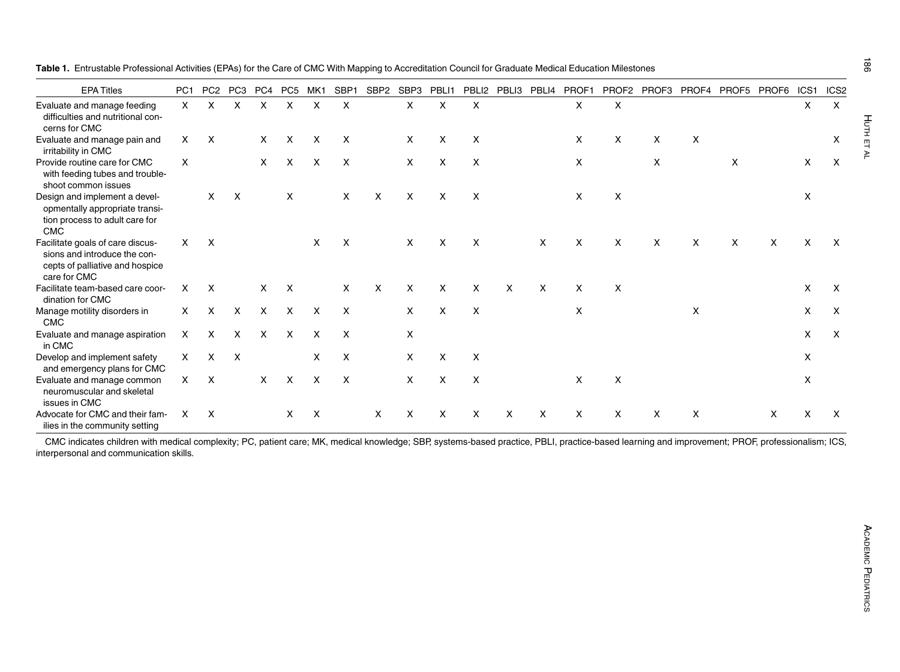<span id="page-2-0"></span>

| Table 1. Entrustable Professional Activities (EPAs) for the Care of CMC With Mapping to Accreditation Council for Graduate Medical Education Milestones |
|---------------------------------------------------------------------------------------------------------------------------------------------------------|
|---------------------------------------------------------------------------------------------------------------------------------------------------------|

| <b>EPA Titles</b>                                                                                                   | PC <sub>1</sub> | PC <sub>2</sub> | PC <sub>3</sub> | PC4          | PC <sub>5</sub> | MK1 | SBP <sub>1</sub>          | SBP <sub>2</sub> | SBP3         | PBLI1        | PBLI <sub>2</sub> | PBLI3 | PBLI4 | PROF1        | PROF <sub>2</sub> | PROF3 | PROF4 | PROF5 | PROF6 | ICS <sub>1</sub> | ICS <sub>2</sub>          |
|---------------------------------------------------------------------------------------------------------------------|-----------------|-----------------|-----------------|--------------|-----------------|-----|---------------------------|------------------|--------------|--------------|-------------------|-------|-------|--------------|-------------------|-------|-------|-------|-------|------------------|---------------------------|
| Evaluate and manage feeding<br>difficulties and nutritional con-<br>cerns for CMC                                   | X               | X               | X               | X            | X               | X   | X                         |                  | X            | X            | X                 |       |       | X            | X                 |       |       |       |       | X                | X                         |
| Evaluate and manage pain and<br>irritability in CMC                                                                 | X               | X               |                 | $\mathsf{X}$ | X               | X   | X                         |                  | X            | X            | X                 |       |       | X            | X                 | X     | X     |       |       |                  | X                         |
| Provide routine care for CMC<br>with feeding tubes and trouble-<br>shoot common issues                              | X               |                 |                 | $\times$     | $\times$        | X   | $\times$                  |                  | X            | X            | X                 |       |       | X            |                   | X     |       | X     |       | X                | X                         |
| Design and implement a devel-<br>opmentally appropriate transi-<br>tion process to adult care for<br><b>CMC</b>     |                 | X               | X               |              | X               |     | X                         | X                | X            | X            | X                 |       |       | X            | X                 |       |       |       |       | X                |                           |
| Facilitate goals of care discus-<br>sions and introduce the con-<br>cepts of palliative and hospice<br>care for CMC | X               | X               |                 |              |                 | X   | $\boldsymbol{\mathsf{X}}$ |                  | $\mathsf{X}$ | X            | X                 |       | X     | $\mathsf{x}$ | X                 | X     | X     | X     | X     | X                | X                         |
| Facilitate team-based care coor-<br>dination for CMC                                                                | X               | X               |                 | X            | X               |     | X                         | X                | X            | X            | X                 | X     | X     | X            | X                 |       |       |       |       | X                | X                         |
| Manage motility disorders in<br><b>CMC</b>                                                                          | X.              | $\mathsf{X}$    | $\times$        | $\times$     | $\times$        | X   | $\times$                  |                  | X            | X            | X                 |       |       | X            |                   |       | X     |       |       | X                | X                         |
| Evaluate and manage aspiration<br>in CMC                                                                            | X               | $\mathsf{X}$    | $\times$        | $\mathsf{x}$ | X               | X   | $\times$                  |                  | X            |              |                   |       |       |              |                   |       |       |       |       | $\times$         | $\boldsymbol{\mathsf{X}}$ |
| Develop and implement safety<br>and emergency plans for CMC                                                         | $\times$        | X               | $\mathsf{x}$    |              |                 | X   | $\times$                  |                  | X            | X            | X                 |       |       |              |                   |       |       |       |       | X                |                           |
| Evaluate and manage common<br>neuromuscular and skeletal<br>issues in CMC                                           | X               | $\mathsf{X}$    |                 | $\mathsf{X}$ | X               | X   | $\boldsymbol{\mathsf{X}}$ |                  | X            | $\mathsf{x}$ | X                 |       |       | X            | X                 |       |       |       |       | X                |                           |
| Advocate for CMC and their fam-<br>ilies in the community setting                                                   | X               | X               |                 |              | X               | X   |                           | X                | X            | X            | X                 | X     | x     | X            | X                 | X     | X     |       | X     | X                | x                         |

CMC indicates children with medical complexity; PC, patient care; MK, medical knowledge; SBP, systems-based practice, PBLI, practice-based learning and improvement; PROF, professionalism; ICS, interpersonal and communication skills.

HUTH ET AL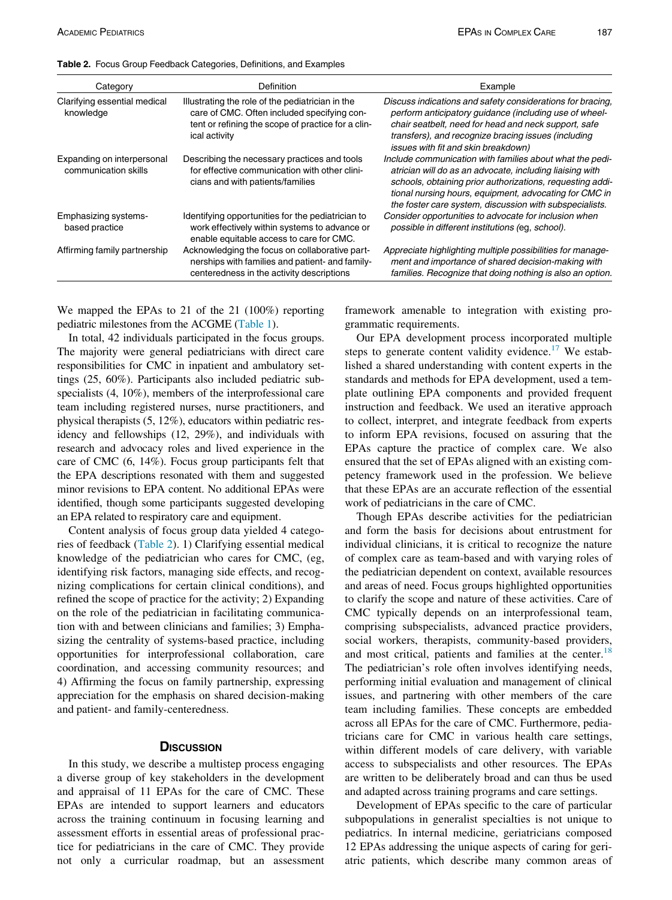| Category                                           | <b>Definition</b>                                                                                                                                                      | Example                                                                                                                                                                                                                                                                                                |
|----------------------------------------------------|------------------------------------------------------------------------------------------------------------------------------------------------------------------------|--------------------------------------------------------------------------------------------------------------------------------------------------------------------------------------------------------------------------------------------------------------------------------------------------------|
| Clarifying essential medical<br>knowledge          | Illustrating the role of the pediatrician in the<br>care of CMC. Often included specifying con-<br>tent or refining the scope of practice for a clin-<br>ical activity | Discuss indications and safety considerations for bracing<br>perform anticipatory guidance (including use of wheel-<br>chair seatbelt, need for head and neck support, safe<br>transfers), and recognize bracing issues (including<br>issues with fit and skin breakdown)                              |
| Expanding on interpersonal<br>communication skills | Describing the necessary practices and tools<br>for effective communication with other clini-<br>cians and with patients/families                                      | Include communication with families about what the pedi-<br>atrician will do as an advocate, including liaising with<br>schools, obtaining prior authorizations, requesting addi-<br>tional nursing hours, equipment, advocating for CMC in<br>the foster care system, discussion with subspecialists. |
| Emphasizing systems-<br>based practice             | Identifying opportunities for the pediatrician to<br>work effectively within systems to advance or<br>enable equitable access to care for CMC.                         | Consider opportunities to advocate for inclusion when<br>possible in different institutions (eg, school).                                                                                                                                                                                              |
| Affirming family partnership                       | Acknowledging the focus on collaborative part-<br>nerships with families and patient- and family-<br>centeredness in the activity descriptions                         | Appreciate highlighting multiple possibilities for manage-<br>ment and importance of shared decision-making with<br>families. Recognize that doing nothing is also an option.                                                                                                                          |

<span id="page-3-0"></span>Table 2. Focus Group Feedback Categories, Definitions, and Examples

We mapped the EPAs to 21 of the 21 (100%) reporting pediatric milestones from the ACGME [\(Table 1\)](#page-2-0).

In total, 42 individuals participated in the focus groups. The majority were general pediatricians with direct care responsibilities for CMC in inpatient and ambulatory settings (25, 60%). Participants also included pediatric subspecialists (4, 10%), members of the interprofessional care team including registered nurses, nurse practitioners, and physical therapists (5, 12%), educators within pediatric residency and fellowships (12, 29%), and individuals with research and advocacy roles and lived experience in the care of CMC (6, 14%). Focus group participants felt that the EPA descriptions resonated with them and suggested minor revisions to EPA content. No additional EPAs were identified, though some participants suggested developing an EPA related to respiratory care and equipment.

Content analysis of focus group data yielded 4 categories of feedback ([Table 2](#page-3-0)). 1) Clarifying essential medical knowledge of the pediatrician who cares for CMC, (eg, identifying risk factors, managing side effects, and recognizing complications for certain clinical conditions), and refined the scope of practice for the activity; 2) Expanding on the role of the pediatrician in facilitating communication with and between clinicians and families; 3) Emphasizing the centrality of systems-based practice, including opportunities for interprofessional collaboration, care coordination, and accessing community resources; and 4) Affirming the focus on family partnership, expressing appreciation for the emphasis on shared decision-making and patient- and family-centeredness.

#### **D**ISCUSSION

In this study, we describe a multistep process engaging a diverse group of key stakeholders in the development and appraisal of 11 EPAs for the care of CMC. These EPAs are intended to support learners and educators across the training continuum in focusing learning and assessment efforts in essential areas of professional practice for pediatricians in the care of CMC. They provide not only a curricular roadmap, but an assessment framework amenable to integration with existing programmatic requirements.

Our EPA development process incorporated multiple steps to generate content validity evidence.<sup>[17](#page-5-6)</sup> We established a shared understanding with content experts in the standards and methods for EPA development, used a template outlining EPA components and provided frequent instruction and feedback. We used an iterative approach to collect, interpret, and integrate feedback from experts to inform EPA revisions, focused on assuring that the EPAs capture the practice of complex care. We also ensured that the set of EPAs aligned with an existing competency framework used in the profession. We believe that these EPAs are an accurate reflection of the essential work of pediatricians in the care of CMC.

Though EPAs describe activities for the pediatrician and form the basis for decisions about entrustment for individual clinicians, it is critical to recognize the nature of complex care as team-based and with varying roles of the pediatrician dependent on context, available resources and areas of need. Focus groups highlighted opportunities to clarify the scope and nature of these activities. Care of CMC typically depends on an interprofessional team, comprising subspecialists, advanced practice providers, social workers, therapists, community-based providers, and most critical, patients and families at the center. $18$ The pediatrician's role often involves identifying needs, performing initial evaluation and management of clinical issues, and partnering with other members of the care team including families. These concepts are embedded across all EPAs for the care of CMC. Furthermore, pediatricians care for CMC in various health care settings, within different models of care delivery, with variable access to subspecialists and other resources. The EPAs are written to be deliberately broad and can thus be used and adapted across training programs and care settings.

Development of EPAs specific to the care of particular subpopulations in generalist specialties is not unique to pediatrics. In internal medicine, geriatricians composed 12 EPAs addressing the unique aspects of caring for geriatric patients, which describe many common areas of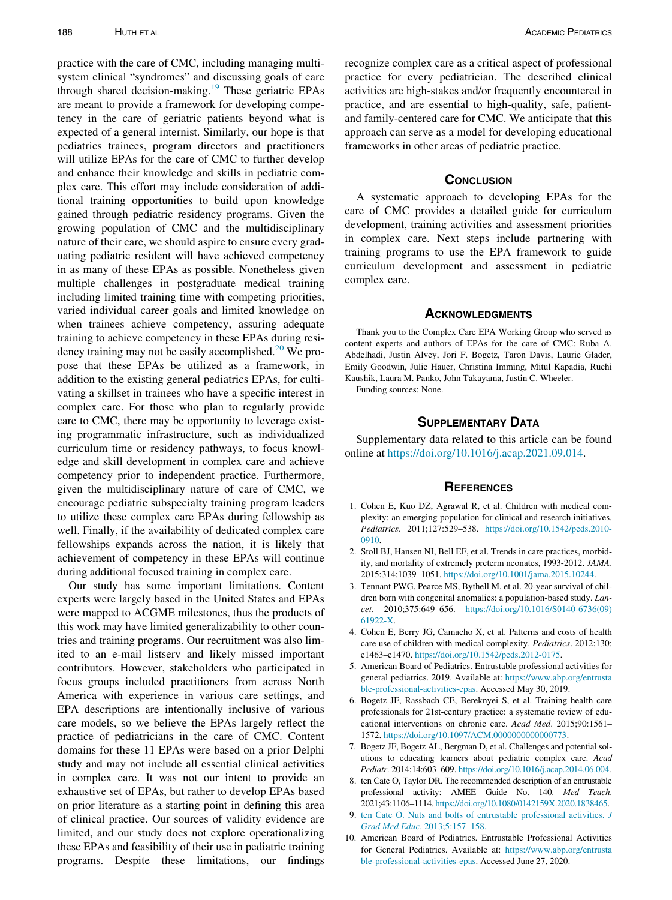practice with the care of CMC, including managing multisystem clinical "syndromes" and discussing goals of care through shared decision-making.<sup>[19](#page-5-8)</sup> These geriatric EPAs are meant to provide a framework for developing competency in the care of geriatric patients beyond what is expected of a general internist. Similarly, our hope is that pediatrics trainees, program directors and practitioners will utilize EPAs for the care of CMC to further develop and enhance their knowledge and skills in pediatric complex care. This effort may include consideration of additional training opportunities to build upon knowledge gained through pediatric residency programs. Given the growing population of CMC and the multidisciplinary nature of their care, we should aspire to ensure every graduating pediatric resident will have achieved competency in as many of these EPAs as possible. Nonetheless given multiple challenges in postgraduate medical training including limited training time with competing priorities, varied individual career goals and limited knowledge on when trainees achieve competency, assuring adequate training to achieve competency in these EPAs during residency training may not be easily accomplished. $20$  We propose that these EPAs be utilized as a framework, in addition to the existing general pediatrics EPAs, for cultivating a skillset in trainees who have a specific interest in complex care. For those who plan to regularly provide care to CMC, there may be opportunity to leverage existing programmatic infrastructure, such as individualized curriculum time or residency pathways, to focus knowledge and skill development in complex care and achieve competency prior to independent practice. Furthermore, given the multidisciplinary nature of care of CMC, we encourage pediatric subspecialty training program leaders to utilize these complex care EPAs during fellowship as well. Finally, if the availability of dedicated complex care fellowships expands across the nation, it is likely that achievement of competency in these EPAs will continue during additional focused training in complex care.

<span id="page-4-7"></span><span id="page-4-6"></span><span id="page-4-5"></span><span id="page-4-4"></span><span id="page-4-3"></span><span id="page-4-2"></span><span id="page-4-1"></span><span id="page-4-0"></span>Our study has some important limitations. Content experts were largely based in the United States and EPAs were mapped to ACGME milestones, thus the products of this work may have limited generalizability to other countries and training programs. Our recruitment was also limited to an e-mail listserv and likely missed important contributors. However, stakeholders who participated in focus groups included practitioners from across North America with experience in various care settings, and EPA descriptions are intentionally inclusive of various care models, so we believe the EPAs largely reflect the practice of pediatricians in the care of CMC. Content domains for these 11 EPAs were based on a prior Delphi study and may not include all essential clinical activities in complex care. It was not our intent to provide an exhaustive set of EPAs, but rather to develop EPAs based on prior literature as a starting point in defining this area of clinical practice. Our sources of validity evidence are limited, and our study does not explore operationalizing these EPAs and feasibility of their use in pediatric training programs. Despite these limitations, our findings

recognize complex care as a critical aspect of professional practice for every pediatrician. The described clinical activities are high-stakes and/or frequently encountered in practice, and are essential to high-quality, safe, patientand family-centered care for CMC. We anticipate that this approach can serve as a model for developing educational frameworks in other areas of pediatric practice.

#### **CONCLUSION**

A systematic approach to developing EPAs for the care of CMC provides a detailed guide for curriculum development, training activities and assessment priorities in complex care. Next steps include partnering with training programs to use the EPA framework to guide curriculum development and assessment in pediatric complex care.

#### **ACKNOWLEDGMENTS**

Thank you to the Complex Care EPA Working Group who served as content experts and authors of EPAs for the care of CMC: Ruba A. Abdelhadi, Justin Alvey, Jori F. Bogetz, Taron Davis, Laurie Glader, Emily Goodwin, Julie Hauer, Christina Imming, Mitul Kapadia, Ruchi Kaushik, Laura M. Panko, John Takayama, Justin C. Wheeler.

Funding sources: None.

## SUPPLEMENTARY DATA

Supplementary data related to this article can be found online at [https://doi.org/10.1016/j.acap.2021.09.014.](https://doi.org/10.1016/j.acap.2021.09.014)

#### **REFERENCES**

- 1. Cohen E, Kuo DZ, Agrawal R, et al. Children with medical complexity: an emerging population for clinical and research initiatives. Pediatrics. 2011;127:529–538. [https://doi.org/10.1542/peds.2010-](https://doi.org/10.1542/peds.2010-0910) [0910](https://doi.org/10.1542/peds.2010-0910).
- 2. Stoll BJ, Hansen NI, Bell EF, et al. Trends in care practices, morbidity, and mortality of extremely preterm neonates, 1993-2012. JAMA. 2015;314:1039–1051. <https://doi.org/10.1001/jama.2015.10244>.
- 3. Tennant PWG, Pearce MS, Bythell M, et al. 20-year survival of children born with congenital anomalies: a population-based study. Lancet. 2010;375:649–656. [https://doi.org/10.1016/S0140-6736\(09\)](https://doi.org/10.1016/S0140-6736(09)61922-X) [61922-X.](https://doi.org/10.1016/S0140-6736(09)61922-X)
- 4. Cohen E, Berry JG, Camacho X, et al. Patterns and costs of health care use of children with medical complexity. Pediatrics. 2012;130: e1463–e1470. [https://doi.org/10.1542/peds.2012-0175.](https://doi.org/10.1542/peds.2012-0175)
- 5. American Board of Pediatrics. Entrustable professional activities for general pediatrics. 2019. Available at: [https://www.abp.org/entrusta](https://www.abp.org/entrustable-professional-activities-epas) [ble-professional-activities-epas](https://www.abp.org/entrustable-professional-activities-epas). Accessed May 30, 2019.
- 6. Bogetz JF, Rassbach CE, Bereknyei S, et al. Training health care professionals for 21st-century practice: a systematic review of educational interventions on chronic care. Acad Med. 2015;90:1561– 1572. [https://doi.org/10.1097/ACM.0000000000000773.](https://doi.org/10.1097/ACM.0000000000000773)
- 7. Bogetz JF, Bogetz AL, Bergman D, et al. Challenges and potential solutions to educating learners about pediatric complex care. Acad Pediatr. 2014;14:603–609. <https://doi.org/10.1016/j.acap.2014.06.004>.
- 8. ten Cate O, Taylor DR. The recommended description of an entrustable professional activity: AMEE Guide No. 140. Med Teach. 2021;43:1106–1114. [https://doi.org/10.1080/0142159X.2020.1838465.](https://doi.org/10.1080/0142159X.2020.1838465)
- 9. [ten Cate O. Nuts and bolts of entrustable professional activities.](http://refhub.elsevier.com/S1876-2859(21)00456-3/sbref0009) J Grad Med Educ[. 2013;5:157–158.](http://refhub.elsevier.com/S1876-2859(21)00456-3/sbref0009)
- 10. American Board of Pediatrics. Entrustable Professional Activities for General Pediatrics. Available at: [https://www.abp.org/entrusta](https://www.abp.org/entrustable-professional-activities-epas) [ble-professional-activities-epas](https://www.abp.org/entrustable-professional-activities-epas). Accessed June 27, 2020.